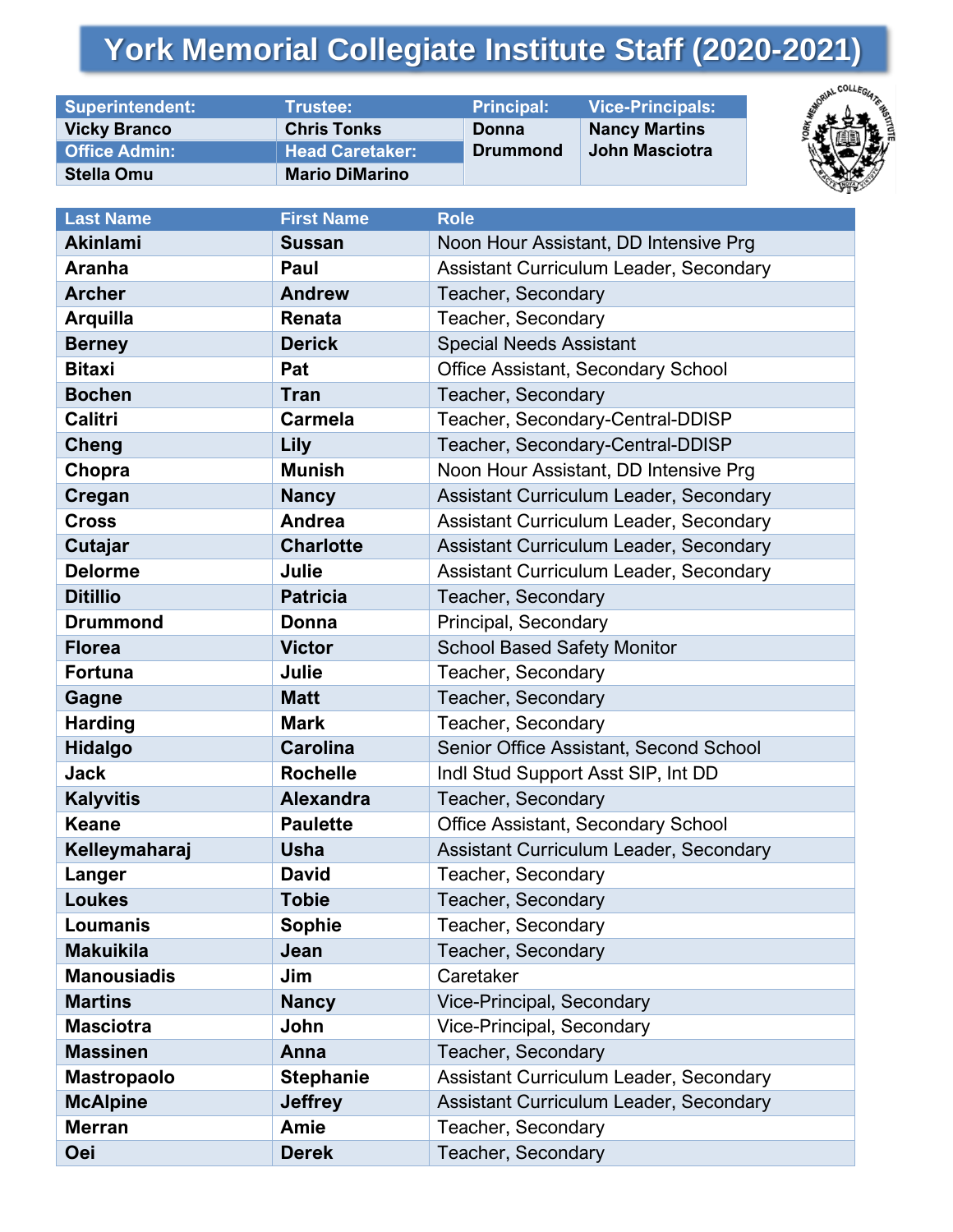## **York Memorial Collegiate Institute Staff (2020-2021)**

| <b>Superintendent:</b> | Trustee:               | <b>Principal:</b> | <b>Vice-Principals:</b> |
|------------------------|------------------------|-------------------|-------------------------|
| <b>Vicky Branco</b>    | <b>Chris Tonks</b>     | Donna             | <b>Nancy Martins</b>    |
| <b>Office Admin:</b>   | <b>Head Caretaker:</b> | <b>Drummond</b>   | John Masciotra          |
| <b>Stella Omu</b>      | <b>Mario DiMarino</b>  |                   |                         |



| <b>Last Name</b>   | <b>First Name</b> | <b>Role</b>                            |  |
|--------------------|-------------------|----------------------------------------|--|
| <b>Akinlami</b>    | <b>Sussan</b>     | Noon Hour Assistant, DD Intensive Prg  |  |
| <b>Aranha</b>      | Paul              | Assistant Curriculum Leader, Secondary |  |
| <b>Archer</b>      | <b>Andrew</b>     | Teacher, Secondary                     |  |
| <b>Arquilla</b>    | Renata            | Teacher, Secondary                     |  |
| <b>Berney</b>      | <b>Derick</b>     | <b>Special Needs Assistant</b>         |  |
| <b>Bitaxi</b>      | Pat               | Office Assistant, Secondary School     |  |
| <b>Bochen</b>      | <b>Tran</b>       | Teacher, Secondary                     |  |
| <b>Calitri</b>     | <b>Carmela</b>    | Teacher, Secondary-Central-DDISP       |  |
| Cheng              | Lily              | Teacher, Secondary-Central-DDISP       |  |
| Chopra             | <b>Munish</b>     | Noon Hour Assistant, DD Intensive Prg  |  |
| Cregan             | <b>Nancy</b>      | Assistant Curriculum Leader, Secondary |  |
| <b>Cross</b>       | Andrea            | Assistant Curriculum Leader, Secondary |  |
| Cutajar            | <b>Charlotte</b>  | Assistant Curriculum Leader, Secondary |  |
| <b>Delorme</b>     | Julie             | Assistant Curriculum Leader, Secondary |  |
| <b>Ditillio</b>    | <b>Patricia</b>   | Teacher, Secondary                     |  |
| <b>Drummond</b>    | Donna             | Principal, Secondary                   |  |
| <b>Florea</b>      | <b>Victor</b>     | <b>School Based Safety Monitor</b>     |  |
| <b>Fortuna</b>     | Julie             | Teacher, Secondary                     |  |
| Gagne              | <b>Matt</b>       | Teacher, Secondary                     |  |
| <b>Harding</b>     | <b>Mark</b>       | Teacher, Secondary                     |  |
| <b>Hidalgo</b>     | <b>Carolina</b>   | Senior Office Assistant, Second School |  |
| <b>Jack</b>        | <b>Rochelle</b>   | Indl Stud Support Asst SIP, Int DD     |  |
| <b>Kalyvitis</b>   | <b>Alexandra</b>  | Teacher, Secondary                     |  |
| <b>Keane</b>       | <b>Paulette</b>   | Office Assistant, Secondary School     |  |
| Kelleymaharaj      | <b>Usha</b>       | Assistant Curriculum Leader, Secondary |  |
| Langer             | <b>David</b>      | Teacher, Secondary                     |  |
| <b>Loukes</b>      | <b>Tobie</b>      | Teacher, Secondary                     |  |
| Loumanis           | Sophie            | Teacher, Secondary                     |  |
| <b>Makuikila</b>   | Jean              | Teacher, Secondary                     |  |
| <b>Manousiadis</b> | Jim               | Caretaker                              |  |
| <b>Martins</b>     | <b>Nancy</b>      | <b>Vice-Principal, Secondary</b>       |  |
| <b>Masciotra</b>   | John              | <b>Vice-Principal, Secondary</b>       |  |
| <b>Massinen</b>    | Anna              | Teacher, Secondary                     |  |
| <b>Mastropaolo</b> | <b>Stephanie</b>  | Assistant Curriculum Leader, Secondary |  |
| <b>McAlpine</b>    | <b>Jeffrey</b>    | Assistant Curriculum Leader, Secondary |  |
| <b>Merran</b>      | <b>Amie</b>       | Teacher, Secondary                     |  |
| <b>Oei</b>         | <b>Derek</b>      | Teacher, Secondary                     |  |